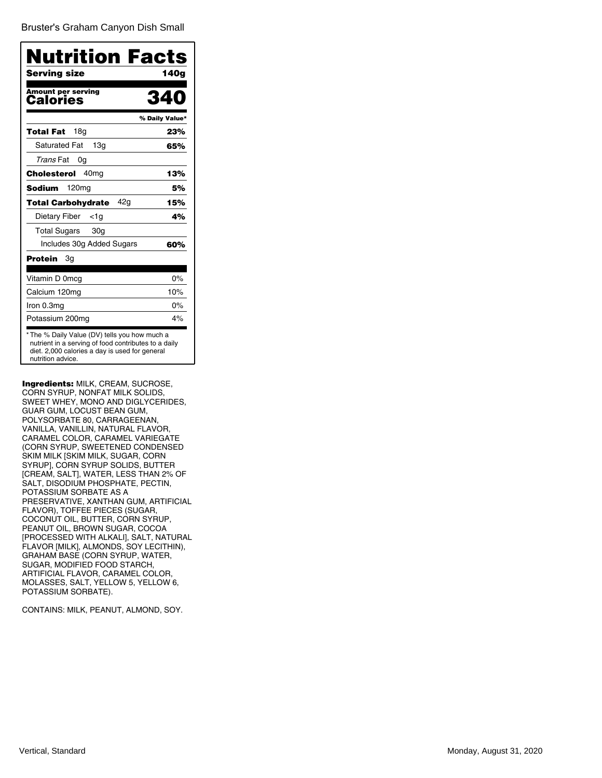Bruster's [Graham Canyon Dish Small](�)

| <b>Nutrition Facts</b>                                                                                                                                                      |                |
|-----------------------------------------------------------------------------------------------------------------------------------------------------------------------------|----------------|
| Serving size                                                                                                                                                                | 140g           |
| <b>Amount per serving</b><br>Calories                                                                                                                                       | 34             |
|                                                                                                                                                                             | % Daily Value* |
| 18a<br><b>Total Fat</b>                                                                                                                                                     | 23%            |
| <b>Saturated Fat</b><br>13 <sub>q</sub>                                                                                                                                     | 65%            |
| <i>Trans</i> Fat<br>0g                                                                                                                                                      |                |
| Cholesterol<br>40 <sub>mq</sub>                                                                                                                                             | 13%            |
| 120 <sub>mg</sub><br>Sodium                                                                                                                                                 | 5%             |
| 42g<br>Total Carbohydrate                                                                                                                                                   | 15%            |
| Dietary Fiber<br><1a                                                                                                                                                        | 4%             |
| <b>Total Sugars</b><br>30 <sub>g</sub>                                                                                                                                      |                |
| Includes 30g Added Sugars                                                                                                                                                   | 60%            |
| Protein<br>3g                                                                                                                                                               |                |
| Vitamin D 0mcg                                                                                                                                                              | 0%             |
| Calcium 120mg                                                                                                                                                               | 10%            |
| Iron 0.3mg                                                                                                                                                                  | 0%             |
| Potassium 200mg                                                                                                                                                             | 4%             |
| *The % Daily Value (DV) tells you how much a<br>nutrient in a serving of food contributes to a daily<br>diet. 2,000 calories a day is used for general<br>nutrition advice. |                |

Ingredients: MILK, CREAM, SUCROSE, CORN SYRUP, NONFAT MILK SOLIDS, SWEET WHEY, MONO AND DIGLYCERIDES, GUAR GUM, LOCUST BEAN GUM, POLYSORBATE 80, CARRAGEENAN, VANILLA, VANILLIN, NATURAL FLAVOR, CARAMEL COLOR, CARAMEL VARIEGATE (CORN SYRUP, SWEETENED CONDENSED SKIM MILK [SKIM MILK, SUGAR, CORN SYRUP], CORN SYRUP SOLIDS, BUTTER [CREAM, SALT], WATER, LESS THAN 2% OF SALT, DISODIUM PHOSPHATE, PECTIN, POTASSIUM SORBATE AS A PRESERVATIVE, XANTHAN GUM, ARTIFICIAL FLAVOR), TOFFEE PIECES (SUGAR, COCONUT OIL, BUTTER, CORN SYRUP, PEANUT OIL, BROWN SUGAR, COCOA [PROCESSED WITH ALKALI], SALT, NATURAL FLAVOR [MILK], ALMONDS, SOY LECITHIN), GRAHAM BASE (CORN SYRUP, WATER, SUGAR, MODIFIED FOOD STARCH, ARTIFICIAL FLAVOR, CARAMEL COLOR, MOLASSES, SALT, YELLOW 5, YELLOW 6, POTASSIUM SORBATE).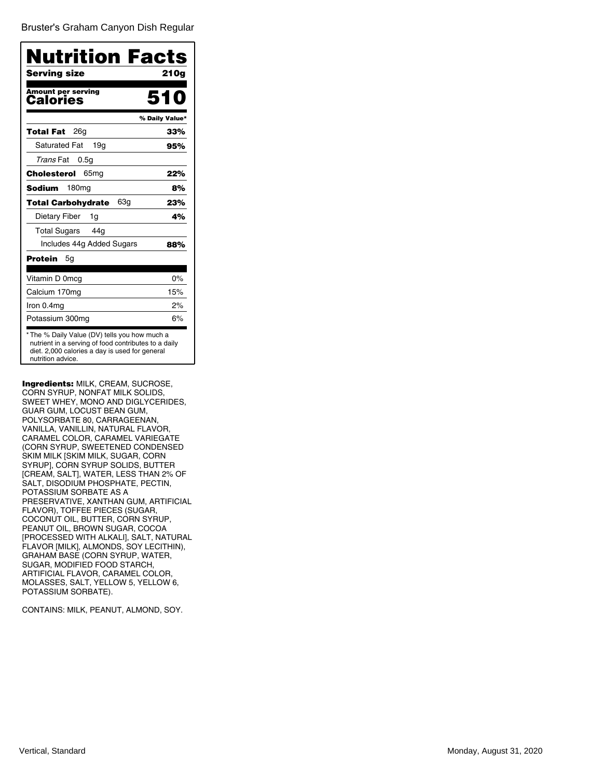Bruster's [Graham Canyon Dish Regular](�)

| <b>Nutrition Facts</b>                                                                                                                                                      |                |
|-----------------------------------------------------------------------------------------------------------------------------------------------------------------------------|----------------|
| Serving size                                                                                                                                                                | 210g           |
| <b>Amount per serving</b><br>Calories                                                                                                                                       | 510            |
|                                                                                                                                                                             | % Daily Value* |
| 26a<br><b>Total Fat</b>                                                                                                                                                     | 33%            |
| <b>Saturated Fat</b><br>19a                                                                                                                                                 | 95%            |
| <i>Trans</i> Fat<br>0.5q                                                                                                                                                    |                |
| Cholesterol<br>65 <sub>mg</sub>                                                                                                                                             | 22%            |
| 180 <sub>mg</sub><br>Sodium                                                                                                                                                 | 8%             |
| 63g<br>Total Carbohydrate                                                                                                                                                   | 23%            |
| Dietary Fiber<br>1g                                                                                                                                                         | 4%             |
| <b>Total Sugars</b><br>44g                                                                                                                                                  |                |
| Includes 44g Added Sugars                                                                                                                                                   | 88%            |
| Protein<br>5g                                                                                                                                                               |                |
| Vitamin D 0mcg                                                                                                                                                              | 0%             |
| Calcium 170mg                                                                                                                                                               | 15%            |
| Iron 0.4mg                                                                                                                                                                  | 2%             |
| Potassium 300mg                                                                                                                                                             | 6%             |
| *The % Daily Value (DV) tells you how much a<br>nutrient in a serving of food contributes to a daily<br>diet. 2,000 calories a day is used for general<br>nutrition advice. |                |

Ingredients: MILK, CREAM, SUCROSE, CORN SYRUP, NONFAT MILK SOLIDS, SWEET WHEY, MONO AND DIGLYCERIDES, GUAR GUM, LOCUST BEAN GUM, POLYSORBATE 80, CARRAGEENAN, VANILLA, VANILLIN, NATURAL FLAVOR, CARAMEL COLOR, CARAMEL VARIEGATE (CORN SYRUP, SWEETENED CONDENSED SKIM MILK [SKIM MILK, SUGAR, CORN SYRUP], CORN SYRUP SOLIDS, BUTTER [CREAM, SALT], WATER, LESS THAN 2% OF SALT, DISODIUM PHOSPHATE, PECTIN, POTASSIUM SORBATE AS A PRESERVATIVE, XANTHAN GUM, ARTIFICIAL FLAVOR), TOFFEE PIECES (SUGAR, COCONUT OIL, BUTTER, CORN SYRUP, PEANUT OIL, BROWN SUGAR, COCOA [PROCESSED WITH ALKALI], SALT, NATURAL FLAVOR [MILK], ALMONDS, SOY LECITHIN), GRAHAM BASE (CORN SYRUP, WATER, SUGAR, MODIFIED FOOD STARCH, ARTIFICIAL FLAVOR, CARAMEL COLOR, MOLASSES, SALT, YELLOW 5, YELLOW 6, POTASSIUM SORBATE).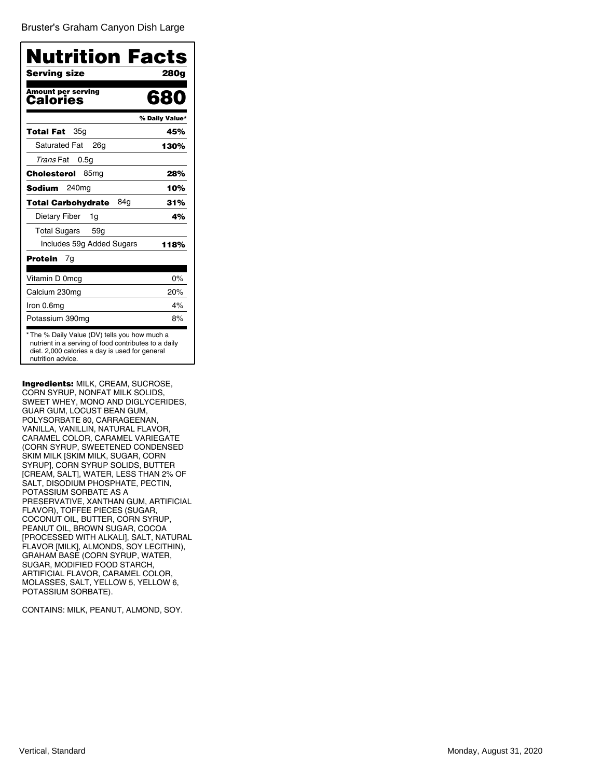Bruster's [Graham Canyon Dish Large](�)

| <b>Nutrition Facts</b>                                                                                                                                                      |                |
|-----------------------------------------------------------------------------------------------------------------------------------------------------------------------------|----------------|
| Serving size                                                                                                                                                                | 280g           |
| <b>Amount per serving</b><br>Calories                                                                                                                                       | 680            |
|                                                                                                                                                                             | % Daily Value* |
| 35a<br>Total Fat                                                                                                                                                            | 45%            |
| <b>Saturated Fat</b><br>26a                                                                                                                                                 | 130%           |
| <i>Trans</i> Fat<br>0.5q                                                                                                                                                    |                |
| Cholesterol<br>85 <sub>mg</sub>                                                                                                                                             | 28%            |
| 240mg<br>Sodium                                                                                                                                                             | 10%            |
| 84g<br>Total Carbohydrate                                                                                                                                                   | 31%            |
| Dietary Fiber<br>1g                                                                                                                                                         | 4%             |
| <b>Total Sugars</b><br>59 <sub>q</sub>                                                                                                                                      |                |
| Includes 59g Added Sugars                                                                                                                                                   | 118%           |
| Protein<br>7g                                                                                                                                                               |                |
| Vitamin D 0mcg                                                                                                                                                              | $0\%$          |
| Calcium 230mg                                                                                                                                                               | 20%            |
| Iron 0.6mg                                                                                                                                                                  | 4%             |
| Potassium 390mg                                                                                                                                                             | 8%             |
| *The % Daily Value (DV) tells you how much a<br>nutrient in a serving of food contributes to a daily<br>diet. 2,000 calories a day is used for general<br>nutrition advice. |                |

Ingredients: MILK, CREAM, SUCROSE, CORN SYRUP, NONFAT MILK SOLIDS, SWEET WHEY, MONO AND DIGLYCERIDES, GUAR GUM, LOCUST BEAN GUM, POLYSORBATE 80, CARRAGEENAN, VANILLA, VANILLIN, NATURAL FLAVOR, CARAMEL COLOR, CARAMEL VARIEGATE (CORN SYRUP, SWEETENED CONDENSED SKIM MILK [SKIM MILK, SUGAR, CORN SYRUP], CORN SYRUP SOLIDS, BUTTER [CREAM, SALT], WATER, LESS THAN 2% OF SALT, DISODIUM PHOSPHATE, PECTIN, POTASSIUM SORBATE AS A PRESERVATIVE, XANTHAN GUM, ARTIFICIAL FLAVOR), TOFFEE PIECES (SUGAR, COCONUT OIL, BUTTER, CORN SYRUP, PEANUT OIL, BROWN SUGAR, COCOA [PROCESSED WITH ALKALI], SALT, NATURAL FLAVOR [MILK], ALMONDS, SOY LECITHIN), GRAHAM BASE (CORN SYRUP, WATER, SUGAR, MODIFIED FOOD STARCH, ARTIFICIAL FLAVOR, CARAMEL COLOR, MOLASSES, SALT, YELLOW 5, YELLOW 6, POTASSIUM SORBATE).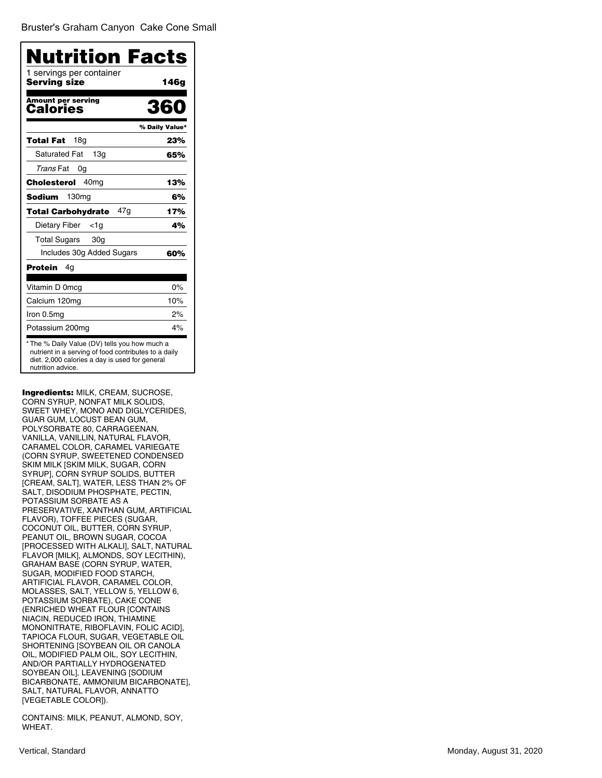| Nutrition Facts                          |                |
|------------------------------------------|----------------|
| 1 servings per container<br>Serving size | 146g           |
| <b>Amount per serving</b><br>Calories    | 361            |
|                                          | % Daily Value* |
| 18g<br>Total Fat                         | 23%            |
| <b>Saturated Fat</b><br>13q              | 65%            |
| Trans Fat<br>0g                          |                |
| 40 <sub>mq</sub><br>Cholesterol          | 13%            |
| Sodium<br>130mg                          | 6%             |
| 47g<br><b>Total Carbohydrate</b>         | 17%            |
| Dietary Fiber<br><1a                     | 4%             |
| <b>Total Sugars</b><br>30 <sub>g</sub>   |                |
| Includes 30g Added Sugars                | 60%            |
| Protein<br>4g                            |                |
| Vitamin D 0mcg                           | 0%             |
| Calcium 120mg                            | 10%            |
| Iron 0.5mg                               | 2%             |
| Potassium 200mg                          | 4%             |

Ingredients: MILK, CREAM, SUCROSE, CORN SYRUP, NONFAT MILK SOLIDS, SWEET WHEY, MONO AND DIGLYCERIDES, GUAR GUM, LOCUST BEAN GUM, POLYSORBATE 80, CARRAGEENAN, VANILLA, VANILLIN, NATURAL FLAVOR, CARAMEL COLOR, CARAMEL VARIEGATE (CORN SYRUP, SWEETENED CONDENSED SKIM MILK [SKIM MILK, SUGAR, CORN SYRUP], CORN SYRUP SOLIDS, BUTTER [CREAM, SALT], WATER, LESS THAN 2% OF SALT, DISODIUM PHOSPHATE, PECTIN, POTASSIUM SORBATE AS A PRESERVATIVE, XANTHAN GUM, ARTIFICIAL FLAVOR), TOFFEE PIECES (SUGAR, COCONUT OIL, BUTTER, CORN SYRUP, PEANUT OIL, BROWN SUGAR, COCOA [PROCESSED WITH ALKALI], SALT, NATURAL FLAVOR [MILK], ALMONDS, SOY LECITHIN), GRAHAM BASE (CORN SYRUP, WATER, SUGAR, MODIFIED FOOD STARCH, ARTIFICIAL FLAVOR, CARAMEL COLOR, MOLASSES, SALT, YELLOW 5, YELLOW 6, POTASSIUM SORBATE), CAKE CONE (ENRICHED WHEAT FLOUR [CONTAINS NIACIN, REDUCED IRON, THIAMINE MONONITRATE, RIBOFLAVIN, FOLIC ACID], TAPIOCA FLOUR, SUGAR, VEGETABLE OIL SHORTENING [SOYBEAN OIL OR CANOLA OIL, MODIFIED PALM OIL, SOY LECITHIN, AND/OR PARTIALLY HYDROGENATED SOYBEAN OIL], LEAVENING [SODIUM BICARBONATE, AMMONIUM BICARBONATE], SALT, NATURAL FLAVOR, ANNATTO [VEGETABLE COLOR]).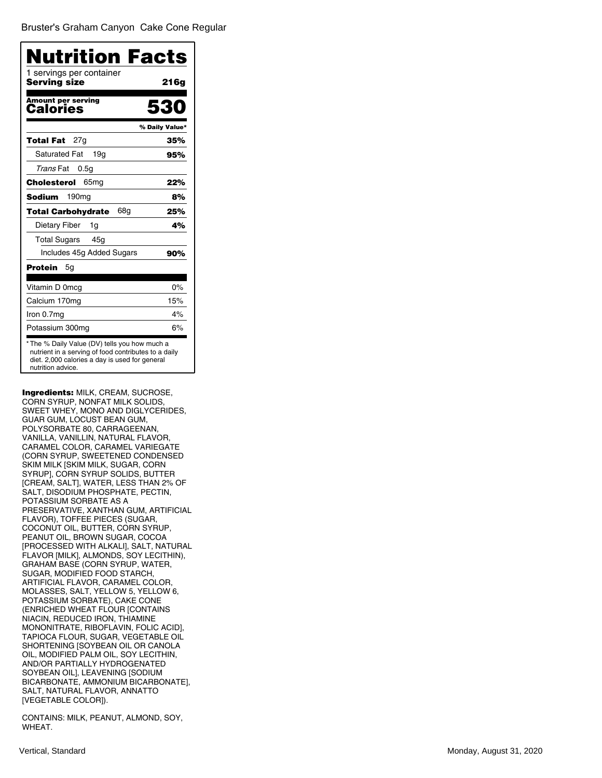| Nutrition Facts                                                                                                                                                             |                |
|-----------------------------------------------------------------------------------------------------------------------------------------------------------------------------|----------------|
| 1 servings per container<br>Serving size                                                                                                                                    | 21 6 g         |
| <b>Amount per serving</b><br>Calories                                                                                                                                       | 530            |
|                                                                                                                                                                             | % Daily Value* |
| 27g<br>Total Fat                                                                                                                                                            | 35%            |
| <b>Saturated Fat</b><br>19a                                                                                                                                                 | 95%            |
| Trans Fat<br>0.5 <sub>q</sub>                                                                                                                                               |                |
| 65 <sub>mg</sub><br>Cholesterol                                                                                                                                             | 22%            |
| 190 <sub>mg</sub><br>Sodium                                                                                                                                                 | 8%             |
| 68g<br>Total Carbohydrate                                                                                                                                                   | 25%            |
| Dietary Fiber<br>1g                                                                                                                                                         | 4%             |
| <b>Total Sugars</b><br>45g                                                                                                                                                  |                |
| Includes 45g Added Sugars                                                                                                                                                   | 90%            |
| Protein<br>5g                                                                                                                                                               |                |
| Vitamin D 0mcg                                                                                                                                                              | 0%             |
| Calcium 170mg                                                                                                                                                               | 15%            |
| Iron 0.7mg                                                                                                                                                                  | 4%             |
| Potassium 300mg                                                                                                                                                             | 6%             |
| *The % Daily Value (DV) tells you how much a<br>nutrient in a serving of food contributes to a daily<br>diet. 2,000 calories a day is used for general<br>nutrition advice. |                |

Ingredients: MILK, CREAM, SUCROSE, CORN SYRUP, NONFAT MILK SOLIDS, SWEET WHEY, MONO AND DIGLYCERIDES, GUAR GUM, LOCUST BEAN GUM, POLYSORBATE 80, CARRAGEENAN, VANILLA, VANILLIN, NATURAL FLAVOR, CARAMEL COLOR, CARAMEL VARIEGATE (CORN SYRUP, SWEETENED CONDENSED SKIM MILK [SKIM MILK, SUGAR, CORN SYRUP], CORN SYRUP SOLIDS, BUTTER [CREAM, SALT], WATER, LESS THAN 2% OF SALT, DISODIUM PHOSPHATE, PECTIN, POTASSIUM SORBATE AS A PRESERVATIVE, XANTHAN GUM, ARTIFICIAL FLAVOR), TOFFEE PIECES (SUGAR, COCONUT OIL, BUTTER, CORN SYRUP, PEANUT OIL, BROWN SUGAR, COCOA [PROCESSED WITH ALKALI], SALT, NATURAL FLAVOR [MILK], ALMONDS, SOY LECITHIN), GRAHAM BASE (CORN SYRUP, WATER, SUGAR, MODIFIED FOOD STARCH, ARTIFICIAL FLAVOR, CARAMEL COLOR, MOLASSES, SALT, YELLOW 5, YELLOW 6, POTASSIUM SORBATE), CAKE CONE (ENRICHED WHEAT FLOUR [CONTAINS NIACIN, REDUCED IRON, THIAMINE MONONITRATE, RIBOFLAVIN, FOLIC ACID], TAPIOCA FLOUR, SUGAR, VEGETABLE OIL SHORTENING [SOYBEAN OIL OR CANOLA OIL, MODIFIED PALM OIL, SOY LECITHIN, AND/OR PARTIALLY HYDROGENATED SOYBEAN OIL], LEAVENING [SODIUM BICARBONATE, AMMONIUM BICARBONATE], SALT, NATURAL FLAVOR, ANNATTO [VEGETABLE COLOR]).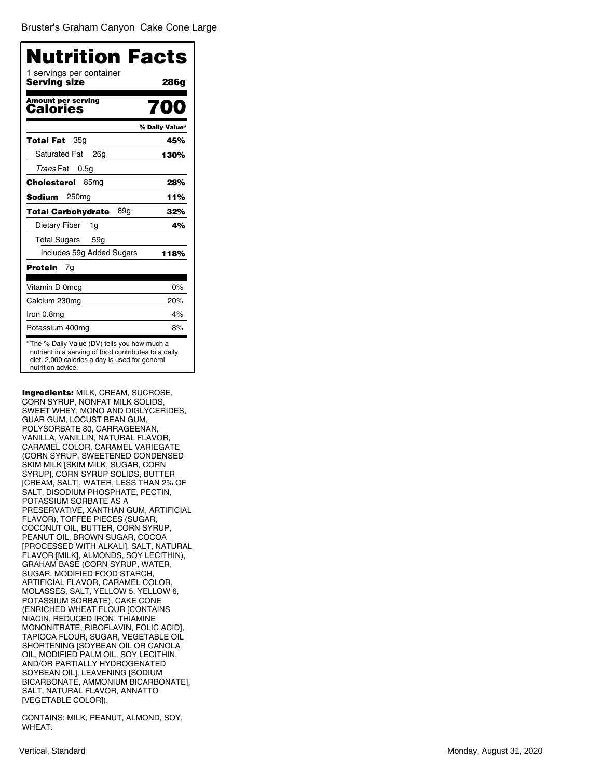| Nutrition Facts                          |                |
|------------------------------------------|----------------|
| 1 servings per container<br>Serving size | 286g           |
| <b>Amount per serving</b><br>Calories    | NO<br>7        |
|                                          | % Daily Value* |
| 35g<br>Total Fat                         | 45%            |
| <b>Saturated Fat</b><br>26a              | 130%           |
| Trans Fat<br>0.5g                        |                |
| Cholesterol<br>85mg                      | 28%            |
| Sodium<br>250ma                          | 11%            |
| 89g<br><b>Total Carbohydrate</b>         | 32%            |
| Dietary Fiber<br>1g                      | 4%             |
| <b>Total Sugars</b><br>59 <sub>q</sub>   |                |
| Includes 59g Added Sugars                | 118%           |
| Protein<br>7g                            |                |
| Vitamin D 0mcg                           | $0\%$          |
| Calcium 230mg                            | 20%            |
| Iron 0.8mg                               | 4%             |
| Potassium 400mg                          | 8%             |

Ingredients: MILK, CREAM, SUCROSE, CORN SYRUP, NONFAT MILK SOLIDS, SWEET WHEY, MONO AND DIGLYCERIDES, GUAR GUM, LOCUST BEAN GUM, POLYSORBATE 80, CARRAGEENAN, VANILLA, VANILLIN, NATURAL FLAVOR, CARAMEL COLOR, CARAMEL VARIEGATE (CORN SYRUP, SWEETENED CONDENSED SKIM MILK [SKIM MILK, SUGAR, CORN SYRUP], CORN SYRUP SOLIDS, BUTTER [CREAM, SALT], WATER, LESS THAN 2% OF SALT, DISODIUM PHOSPHATE, PECTIN, POTASSIUM SORBATE AS A PRESERVATIVE, XANTHAN GUM, ARTIFICIAL FLAVOR), TOFFEE PIECES (SUGAR, COCONUT OIL, BUTTER, CORN SYRUP, PEANUT OIL, BROWN SUGAR, COCOA [PROCESSED WITH ALKALI], SALT, NATURAL FLAVOR [MILK], ALMONDS, SOY LECITHIN), GRAHAM BASE (CORN SYRUP, WATER, SUGAR, MODIFIED FOOD STARCH, ARTIFICIAL FLAVOR, CARAMEL COLOR, MOLASSES, SALT, YELLOW 5, YELLOW 6, POTASSIUM SORBATE), CAKE CONE (ENRICHED WHEAT FLOUR [CONTAINS NIACIN, REDUCED IRON, THIAMINE MONONITRATE, RIBOFLAVIN, FOLIC ACID], TAPIOCA FLOUR, SUGAR, VEGETABLE OIL SHORTENING [SOYBEAN OIL OR CANOLA OIL, MODIFIED PALM OIL, SOY LECITHIN, AND/OR PARTIALLY HYDROGENATED SOYBEAN OIL], LEAVENING [SODIUM BICARBONATE, AMMONIUM BICARBONATE], SALT, NATURAL FLAVOR, ANNATTO [VEGETABLE COLOR]).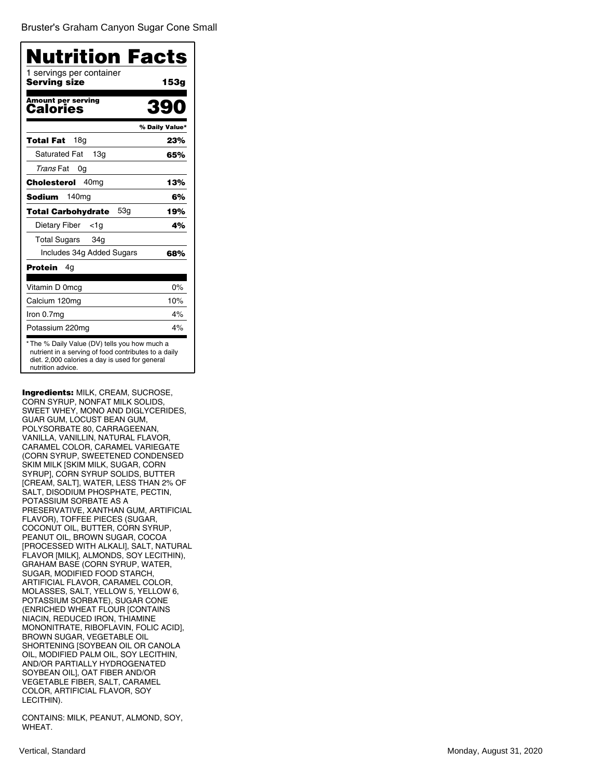Bruster's [Graham Canyon](�) Sugar Cone Small

| Nutrition Facts                          |                |
|------------------------------------------|----------------|
| 1 servings per container<br>Serving size | 153g           |
| <b>Amount per serving</b><br>Calories    | 390            |
|                                          | % Daily Value* |
| 18 <sub>g</sub><br>Total Fat             | 23%            |
| <b>Saturated Fat</b><br>13 <sub>q</sub>  | 65%            |
| Trans Fat<br>0g                          |                |
| 40 <sub>mg</sub><br>Cholesterol          | 13%            |
| 140 <sub>mg</sub><br>Sodium              | 6%             |
| 53q<br><b>Total Carbohydrate</b>         | 19%            |
| Dietary Fiber<br>$<$ 1g                  | 4%             |
| <b>Total Sugars</b><br>34g               |                |
| Includes 34g Added Sugars                | 68%            |
| Protein<br>4g                            |                |
| Vitamin D 0mcg                           | 0%             |
| Calcium 120mg                            | 10%            |
| Iron 0.7mg                               | 4%             |
| Potassium 220mg                          | 4%             |

Ingredients: MILK, CREAM, SUCROSE, CORN SYRUP, NONFAT MILK SOLIDS, SWEET WHEY, MONO AND DIGLYCERIDES, GUAR GUM, LOCUST BEAN GUM, POLYSORBATE 80, CARRAGEENAN, VANILLA, VANILLIN, NATURAL FLAVOR, CARAMEL COLOR, CARAMEL VARIEGATE (CORN SYRUP, SWEETENED CONDENSED SKIM MILK [SKIM MILK, SUGAR, CORN SYRUP], CORN SYRUP SOLIDS, BUTTER [CREAM, SALT], WATER, LESS THAN 2% OF SALT, DISODIUM PHOSPHATE, PECTIN, POTASSIUM SORBATE AS A PRESERVATIVE, XANTHAN GUM, ARTIFICIAL FLAVOR), TOFFEE PIECES (SUGAR, COCONUT OIL, BUTTER, CORN SYRUP, PEANUT OIL, BROWN SUGAR, COCOA [PROCESSED WITH ALKALI], SALT, NATURAL FLAVOR [MILK], ALMONDS, SOY LECITHIN), GRAHAM BASE (CORN SYRUP, WATER, SUGAR, MODIFIED FOOD STARCH, ARTIFICIAL FLAVOR, CARAMEL COLOR, MOLASSES, SALT, YELLOW 5, YELLOW 6, POTASSIUM SORBATE), SUGAR CONE (ENRICHED WHEAT FLOUR [CONTAINS NIACIN, REDUCED IRON, THIAMINE MONONITRATE, RIBOFLAVIN, FOLIC ACID], BROWN SUGAR, VEGETABLE OIL SHORTENING [SOYBEAN OIL OR CANOLA OIL, MODIFIED PALM OIL, SOY LECITHIN, AND/OR PARTIALLY HYDROGENATED SOYBEAN OIL], OAT FIBER AND/OR VEGETABLE FIBER, SALT, CARAMEL COLOR, ARTIFICIAL FLAVOR, SOY LECITHIN).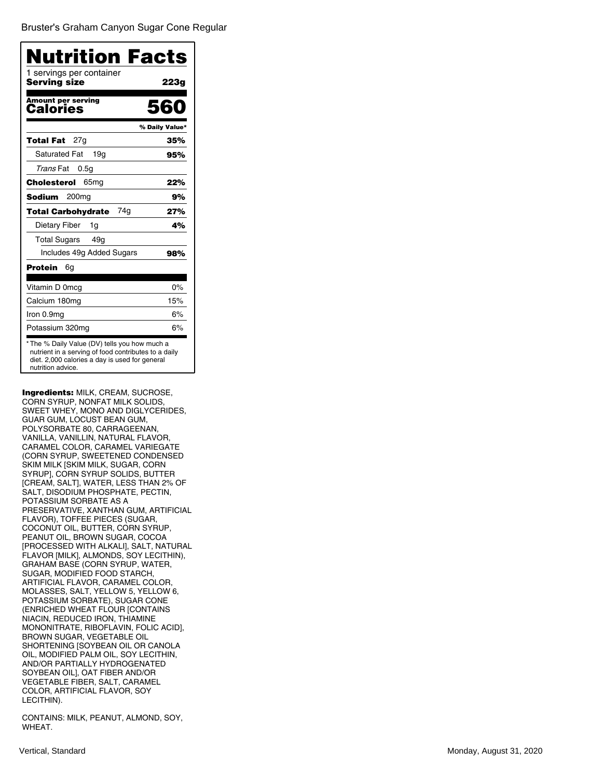Bruster's [Graham Canyon](�) Sugar Cone Regular

| Nutrition Facts<br>1 servings per container<br>Serving size |                |
|-------------------------------------------------------------|----------------|
|                                                             | 223g           |
| <b>Amount per serving</b><br>Calories                       | 560            |
|                                                             | % Daily Value* |
| 27g<br>Total Fat                                            | 35%            |
| <b>Saturated Fat</b><br>19q                                 | 95%            |
| <i>Trans</i> Fat<br>0.5 <sub>q</sub>                        |                |
| 65 <sub>mg</sub><br>Cholesterol                             | 22%            |
| 200 <sub>mg</sub><br>Sodium                                 | 9%             |
| 74q<br>Total Carbohydrate                                   | 27%            |
| Dietary Fiber<br>1g                                         | 4%             |
| <b>Total Sugars</b><br>49 <sub>g</sub>                      |                |
| Includes 49g Added Sugars                                   | 98%            |
| Protein<br>6g                                               |                |
| Vitamin D 0mcg                                              | 0%             |
| Calcium 180mg                                               | 15%            |
| Iron 0.9mg                                                  | 6%             |
| Potassium 320mg                                             | 6%             |

Ingredients: MILK, CREAM, SUCROSE, CORN SYRUP, NONFAT MILK SOLIDS, SWEET WHEY, MONO AND DIGLYCERIDES, GUAR GUM, LOCUST BEAN GUM, POLYSORBATE 80, CARRAGEENAN, VANILLA, VANILLIN, NATURAL FLAVOR, CARAMEL COLOR, CARAMEL VARIEGATE (CORN SYRUP, SWEETENED CONDENSED SKIM MILK [SKIM MILK, SUGAR, CORN SYRUP], CORN SYRUP SOLIDS, BUTTER [CREAM, SALT], WATER, LESS THAN 2% OF SALT, DISODIUM PHOSPHATE, PECTIN, POTASSIUM SORBATE AS A PRESERVATIVE, XANTHAN GUM, ARTIFICIAL FLAVOR), TOFFEE PIECES (SUGAR, COCONUT OIL, BUTTER, CORN SYRUP, PEANUT OIL, BROWN SUGAR, COCOA [PROCESSED WITH ALKALI], SALT, NATURAL FLAVOR [MILK], ALMONDS, SOY LECITHIN), GRAHAM BASE (CORN SYRUP, WATER, SUGAR, MODIFIED FOOD STARCH, ARTIFICIAL FLAVOR, CARAMEL COLOR, MOLASSES, SALT, YELLOW 5, YELLOW 6, POTASSIUM SORBATE), SUGAR CONE (ENRICHED WHEAT FLOUR [CONTAINS NIACIN, REDUCED IRON, THIAMINE MONONITRATE, RIBOFLAVIN, FOLIC ACID], BROWN SUGAR, VEGETABLE OIL SHORTENING [SOYBEAN OIL OR CANOLA OIL, MODIFIED PALM OIL, SOY LECITHIN, AND/OR PARTIALLY HYDROGENATED SOYBEAN OIL], OAT FIBER AND/OR VEGETABLE FIBER, SALT, CARAMEL COLOR, ARTIFICIAL FLAVOR, SOY LECITHIN).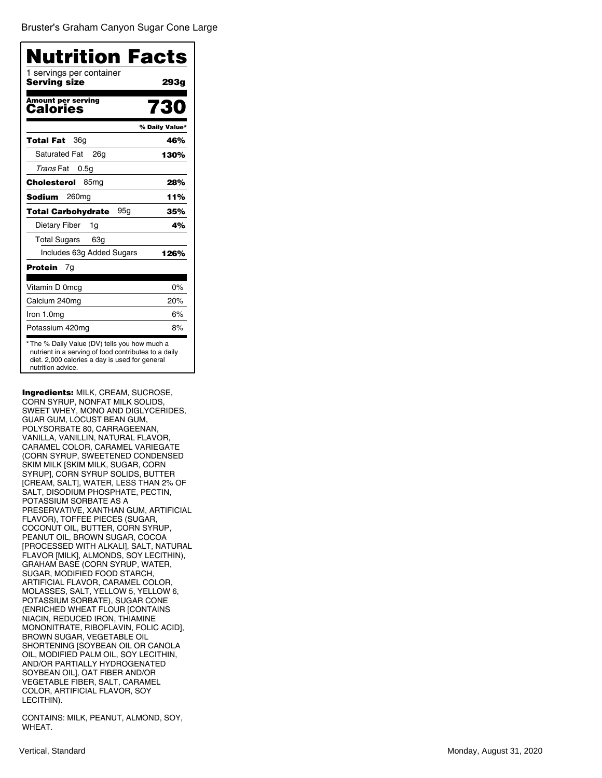Bruster's [Graham Canyon](�) Sugar Cone Large

| Nutrition Facts                          |                |
|------------------------------------------|----------------|
| 1 servings per container<br>Serving size | 293g           |
| <b>Amount per serving</b><br>Calories    | 730            |
|                                          | % Daily Value* |
| 36g<br>Total Fat                         | 46%            |
| <b>Saturated Fat</b><br>26a              | 130%           |
| Trans Fat<br>0.5g                        |                |
| Cholesterol<br>85 <sub>mg</sub>          | 28%            |
| Sodium<br>260 <sub>mg</sub>              | 11%            |
| <b>Total Carbohydrate</b><br>95g         | 35%            |
| Dietary Fiber<br>1g                      | 4%             |
| <b>Total Sugars</b><br>63g               |                |
| Includes 63g Added Sugars                | 126%           |
| Protein<br>7g                            |                |
| Vitamin D 0mcg                           | 0%             |
| Calcium 240mg                            | 20%            |
| Iron 1.0mg                               | 6%             |
| Potassium 420mg                          | 8%             |

Ingredients: MILK, CREAM, SUCROSE, CORN SYRUP, NONFAT MILK SOLIDS, SWEET WHEY, MONO AND DIGLYCERIDES, GUAR GUM, LOCUST BEAN GUM, POLYSORBATE 80, CARRAGEENAN, VANILLA, VANILLIN, NATURAL FLAVOR, CARAMEL COLOR, CARAMEL VARIEGATE (CORN SYRUP, SWEETENED CONDENSED SKIM MILK [SKIM MILK, SUGAR, CORN SYRUP], CORN SYRUP SOLIDS, BUTTER [CREAM, SALT], WATER, LESS THAN 2% OF SALT, DISODIUM PHOSPHATE, PECTIN, POTASSIUM SORBATE AS A PRESERVATIVE, XANTHAN GUM, ARTIFICIAL FLAVOR), TOFFEE PIECES (SUGAR, COCONUT OIL, BUTTER, CORN SYRUP, PEANUT OIL, BROWN SUGAR, COCOA [PROCESSED WITH ALKALI], SALT, NATURAL FLAVOR [MILK], ALMONDS, SOY LECITHIN), GRAHAM BASE (CORN SYRUP, WATER, SUGAR, MODIFIED FOOD STARCH, ARTIFICIAL FLAVOR, CARAMEL COLOR, MOLASSES, SALT, YELLOW 5, YELLOW 6, POTASSIUM SORBATE), SUGAR CONE (ENRICHED WHEAT FLOUR [CONTAINS NIACIN, REDUCED IRON, THIAMINE MONONITRATE, RIBOFLAVIN, FOLIC ACID], BROWN SUGAR, VEGETABLE OIL SHORTENING [SOYBEAN OIL OR CANOLA OIL, MODIFIED PALM OIL, SOY LECITHIN, AND/OR PARTIALLY HYDROGENATED SOYBEAN OIL], OAT FIBER AND/OR VEGETABLE FIBER, SALT, CARAMEL COLOR, ARTIFICIAL FLAVOR, SOY LECITHIN).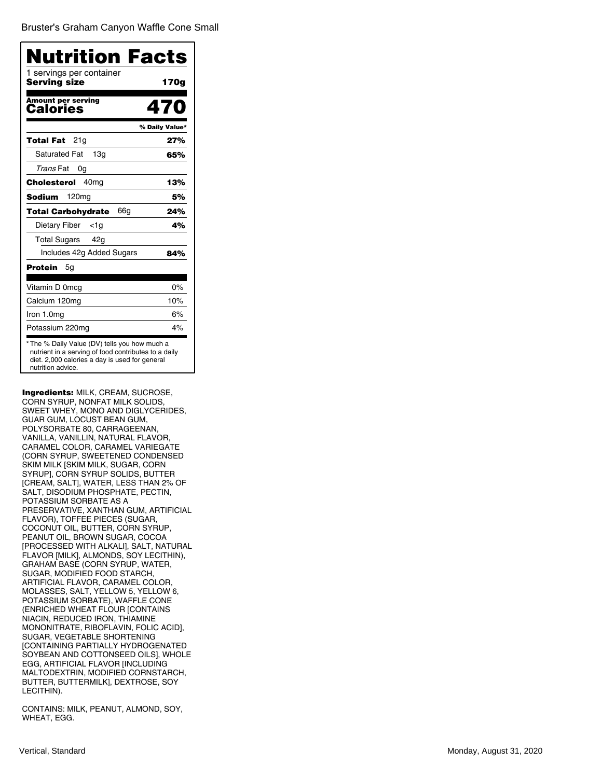Bruster's [Graham Canyon](�) Waffle Cone Small

| 1 servings per container<br>Serving size | 170g           |
|------------------------------------------|----------------|
| <b>Amount per serving</b><br>Calories    | 470            |
|                                          | % Daily Value* |
| 21g<br>Total Fat                         | 27%            |
| <b>Saturated Fat</b><br>13 <sub>q</sub>  | 65%            |
| Trans Fat<br>0g                          |                |
| 40 <sub>mq</sub><br>Cholesterol          | 13%            |
| 120 <sub>mg</sub><br>Sodium              | 5%             |
| 66g<br>Total Carbohydrate                | 24%            |
| Dietary Fiber<br><1a                     | 4%             |
| Total Sugars 42g                         |                |
| Includes 42g Added Sugars                | 84%            |
| Protein<br>5g                            |                |
| Vitamin D 0mcg                           | $0\%$          |
| Calcium 120mg                            | 10%            |
| Iron 1.0mg                               | 6%             |
| Potassium 220mg                          | 4%             |

Ingredients: MILK, CREAM, SUCROSE, CORN SYRUP, NONFAT MILK SOLIDS, SWEET WHEY, MONO AND DIGLYCERIDES, GUAR GUM, LOCUST BEAN GUM, POLYSORBATE 80, CARRAGEENAN, VANILLA, VANILLIN, NATURAL FLAVOR, CARAMEL COLOR, CARAMEL VARIEGATE (CORN SYRUP, SWEETENED CONDENSED SKIM MILK [SKIM MILK, SUGAR, CORN SYRUP], CORN SYRUP SOLIDS, BUTTER [CREAM, SALT], WATER, LESS THAN 2% OF SALT, DISODIUM PHOSPHATE, PECTIN, POTASSIUM SORBATE AS A PRESERVATIVE, XANTHAN GUM, ARTIFICIAL FLAVOR), TOFFEE PIECES (SUGAR, COCONUT OIL, BUTTER, CORN SYRUP, PEANUT OIL, BROWN SUGAR, COCOA [PROCESSED WITH ALKALI], SALT, NATURAL FLAVOR [MILK], ALMONDS, SOY LECITHIN), GRAHAM BASE (CORN SYRUP, WATER, SUGAR, MODIFIED FOOD STARCH, ARTIFICIAL FLAVOR, CARAMEL COLOR, MOLASSES, SALT, YELLOW 5, YELLOW 6, POTASSIUM SORBATE), WAFFLE CONE (ENRICHED WHEAT FLOUR [CONTAINS NIACIN, REDUCED IRON, THIAMINE MONONITRATE, RIBOFLAVIN, FOLIC ACID], SUGAR, VEGETABLE SHORTENING [CONTAINING PARTIALLY HYDROGENATED SOYBEAN AND COTTONSEED OILS], WHOLE EGG, ARTIFICIAL FLAVOR [INCLUDING MALTODEXTRIN, MODIFIED CORNSTARCH, BUTTER, BUTTERMILK], DEXTROSE, SOY LECITHIN).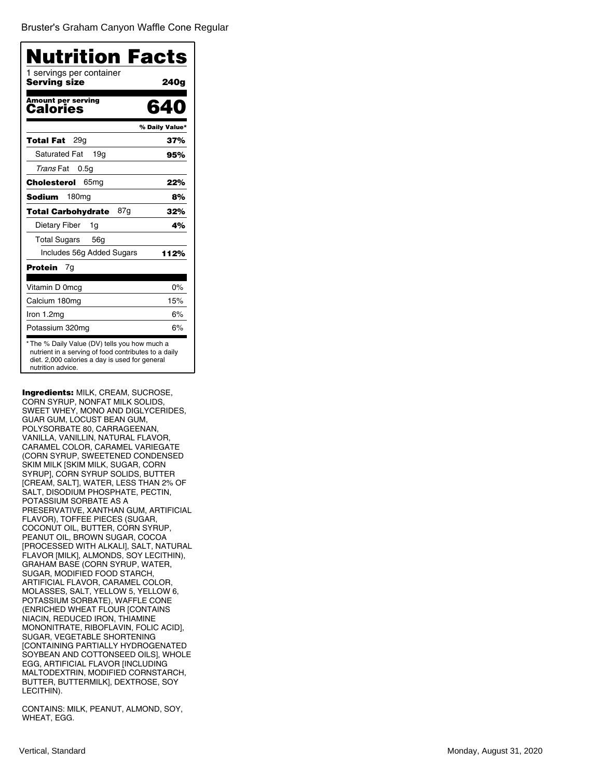Bruster's [Graham Canyon](�) Waffle Cone Regular

| Nutrition Facts<br>1 servings per container |                |
|---------------------------------------------|----------------|
| Servina size                                | 240a           |
| <b>Amount per serving</b><br>Calories       | 640            |
|                                             | % Daily Value* |
| 29a<br>Total Fat                            | 37%            |
| <b>Saturated Fat</b><br>19g                 | 95%            |
| <i>Trans</i> Fat<br>0.5g                    |                |
| Cholesterol<br>65 <sub>mq</sub>             | 22%            |
| Sodium<br>180 <sub>mg</sub>                 | 8%             |
| 87g<br><b>Total Carbohydrate</b>            | 32%            |
| Dietary Fiber<br>1g                         | 4%             |
| <b>Total Sugars</b><br>56 <sub>q</sub>      |                |
| Includes 56g Added Sugars                   | 112%           |
| Protein<br>7g                               |                |
| Vitamin D 0mcg                              | 0%             |
| Calcium 180mg                               | 15%            |
| Iron 1.2mg                                  | 6%             |
| Potassium 320mg                             | 6%             |

Ingredients: MILK, CREAM, SUCROSE, CORN SYRUP, NONFAT MILK SOLIDS, SWEET WHEY, MONO AND DIGLYCERIDES, GUAR GUM, LOCUST BEAN GUM, POLYSORBATE 80, CARRAGEENAN, VANILLA, VANILLIN, NATURAL FLAVOR, CARAMEL COLOR, CARAMEL VARIEGATE (CORN SYRUP, SWEETENED CONDENSED SKIM MILK [SKIM MILK, SUGAR, CORN SYRUP], CORN SYRUP SOLIDS, BUTTER [CREAM, SALT], WATER, LESS THAN 2% OF SALT, DISODIUM PHOSPHATE, PECTIN, POTASSIUM SORBATE AS A PRESERVATIVE, XANTHAN GUM, ARTIFICIAL FLAVOR), TOFFEE PIECES (SUGAR, COCONUT OIL, BUTTER, CORN SYRUP, PEANUT OIL, BROWN SUGAR, COCOA [PROCESSED WITH ALKALI], SALT, NATURAL FLAVOR [MILK], ALMONDS, SOY LECITHIN), GRAHAM BASE (CORN SYRUP, WATER, SUGAR, MODIFIED FOOD STARCH, ARTIFICIAL FLAVOR, CARAMEL COLOR, MOLASSES, SALT, YELLOW 5, YELLOW 6, POTASSIUM SORBATE), WAFFLE CONE (ENRICHED WHEAT FLOUR [CONTAINS NIACIN, REDUCED IRON, THIAMINE MONONITRATE, RIBOFLAVIN, FOLIC ACID], SUGAR, VEGETABLE SHORTENING [CONTAINING PARTIALLY HYDROGENATED SOYBEAN AND COTTONSEED OILS], WHOLE EGG, ARTIFICIAL FLAVOR [INCLUDING MALTODEXTRIN, MODIFIED CORNSTARCH, BUTTER, BUTTERMILK], DEXTROSE, SOY LECITHIN).